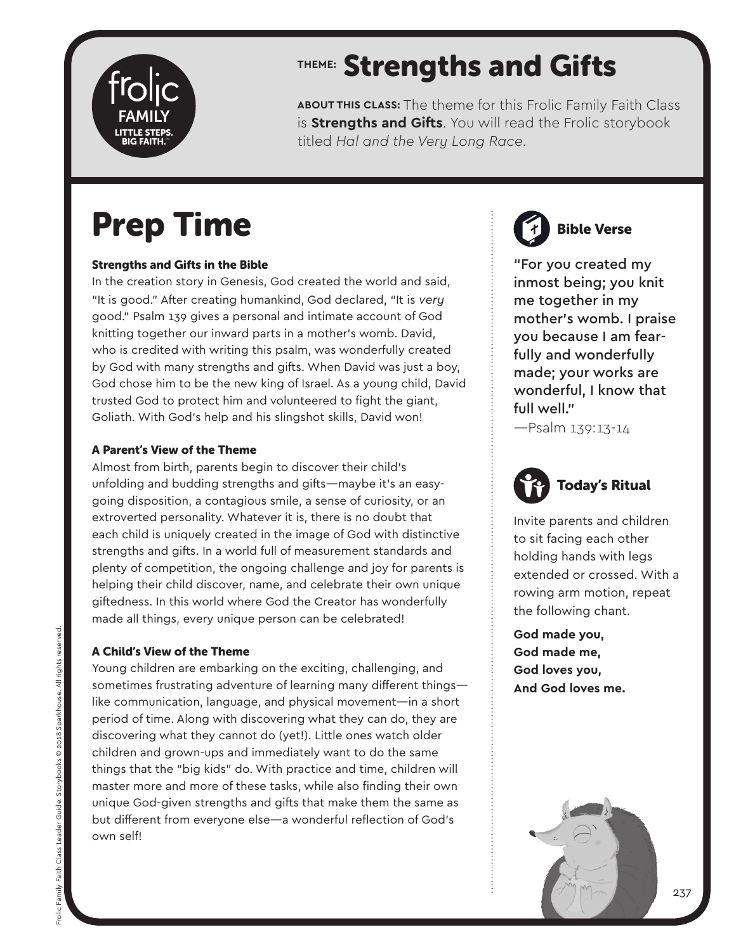

# **THEME:** Strengths and Gifts

**ABOUT THIS CLASS:** The theme for this Frolic Family Faith Class is **Strengths and Gifts**. You will read the Frolic storybook titled *Hal and the Very Long Race*.

# Prep Time

## Strengths and Gifts in the Bible

In the creation story in Genesis, God created the world and said, "It is good." After creating humankind, God declared, "It is *very* good." Psalm 139 gives a personal and intimate account of God knitting together our inward parts in a mother's womb. David, who is credited with writing this psalm, was wonderfully created by God with many strengths and gifts. When David was just a boy, God chose him to be the new king of Israel. As a young child, David trusted God to protect him and volunteered to fight the giant, Goliath. With God's help and his slingshot skills, David won!

## A Parent's View of the Theme

Almost from birth, parents begin to discover their child's unfolding and budding strengths and gifts—maybe it's an easygoing disposition, a contagious smile, a sense of curiosity, or an extroverted personality. Whatever it is, there is no doubt that each child is uniquely created in the image of God with distinctive strengths and gifts. In a world full of measurement standards and plenty of competition, the ongoing challenge and joy for parents is helping their child discover, name, and celebrate their own unique giftedness. In this world where God the Creator has wonderfully made all things, every unique person can be celebrated!

## A Child's View of the Theme

Young children are embarking on the exciting, challenging, and sometimes frustrating adventure of learning many different things like communication, language, and physical movement—in a short period of time. Along with discovering what they can do, they are discovering what they cannot do (yet!). Little ones watch older children and grown-ups and immediately want to do the same things that the "big kids" do. With practice and time, children will master more and more of these tasks, while also finding their own unique God-given strengths and gifts that make them the same as but different from everyone else—a wonderful reflection of God's own self!



Bible Verse

"For you created my inmost being; you knit me together in my mother's womb. I praise you because I am fearfully and wonderfully made; your works are wonderful, I know that full well."

—Psalm 139:13-14



Invite parents and children to sit facing each other holding hands with legs extended or crossed. With a rowing arm motion, repeat the following chant.

**God made you, God made me, God loves you, And God loves me.** 

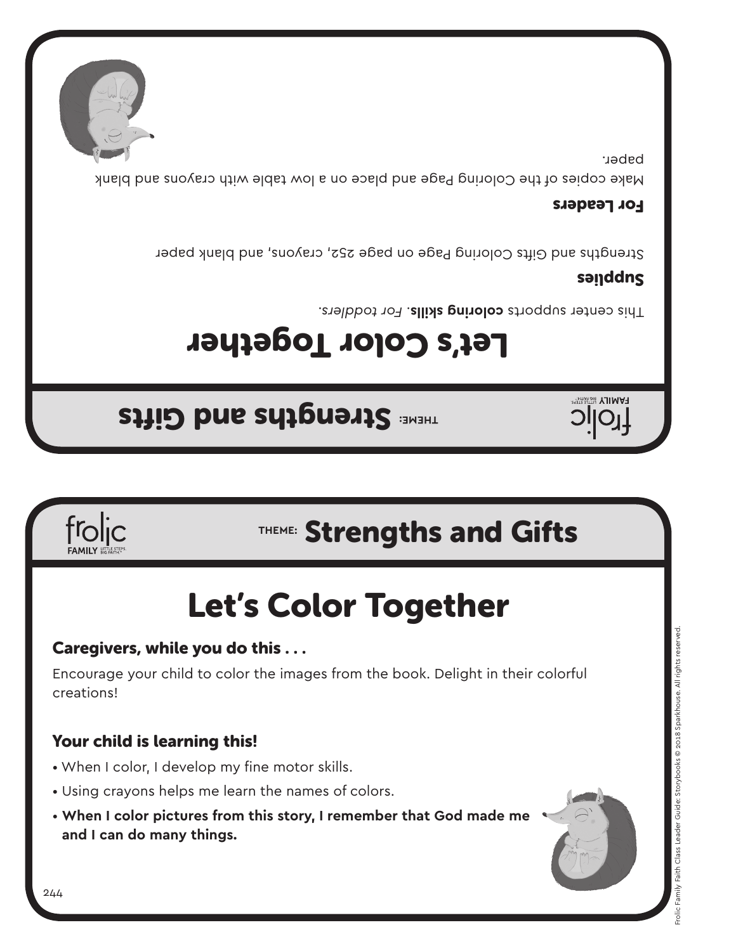## 244

## • When I color, I develop my fine motor skills.

- 
- Using crayons helps me learn the names of colors.
- **When I color pictures from this story, I remember that God made me and I can do many things.**

## Your child is learning this!

Encourage your child to color the images from the book. Delight in their colorful creations!

## Caregivers, while you do this . . .

# Let's Color Together

# **THEME:** Strengths and Gifts

# **THEME: Strengths and Gifts**

# Let's Color Together

Fhis center supports **coloring skills**. For toddlers.

## sanddns

**HAMILY BIG FAITH** 

Strengths and Gifts Coloring Page on page 252, crayons, and blank paper

## For Leaders

Make copies of the Coloring Page and place on a low table with crayons and blank paper.

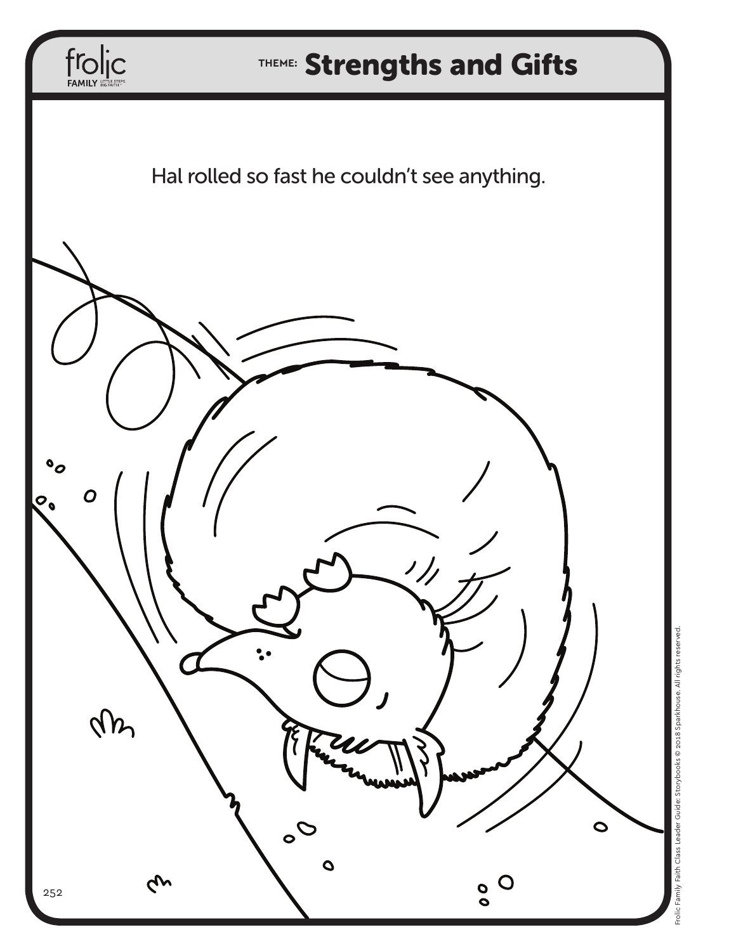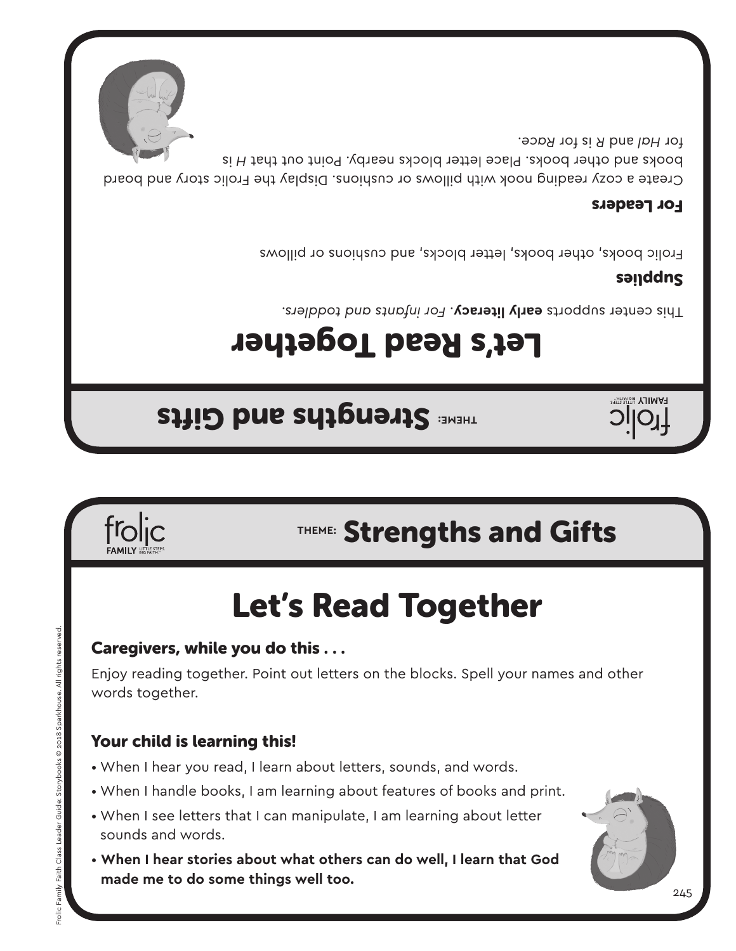



## Your child is learning this!

Caregivers, while you do this . . .

- When I hear you read, I learn about letters, sounds, and words.
- When I handle books, I am learning about features of books and print.
- When I see letters that I can manipulate, I am learning about letter sounds and words.
- 
- 
- 

Enjoy reading together. Point out letters on the blocks. Spell your names and other words together.

# Let's Read Together



# **THEME:** Strengths and Gifts

**TAMILY** 

# Let's Read Together

**THEME: Strengths and Gifts** 

*For infants and toddlers.* . **early literacy** This center supports

## sanddns

Frolic books, other books, letter blocks, and cushions or pillows

## For Leaders

Create a cozy reading nook with pillows or cushions. Display the Frolic story and board is *H* books and other books. Place letter blocks nearby. Point out that for Hal and *R* is tor *Race*.

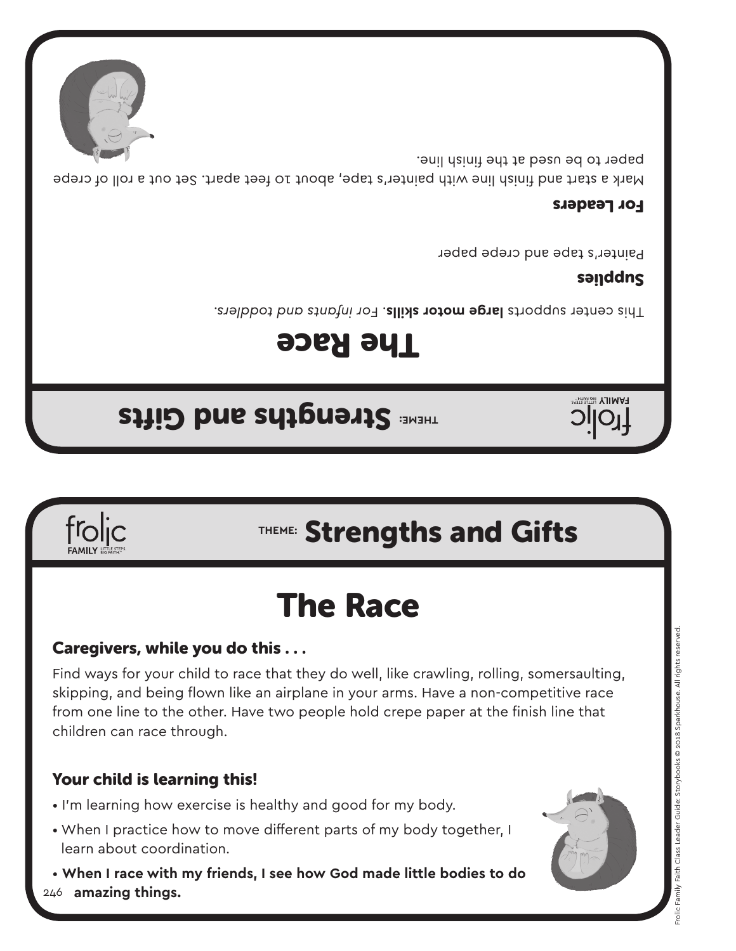## Your child is learning this!

- I'm learning how exercise is healthy and good for my body.
- When I practice how to move different parts of my body together, I learn about coordination.
- 246  **amazing things.**  • **When I race with my friends, I see how God made little bodies to do**

skipping, and being flown like an airplane in your arms. Have a non-competitive race from one line to the other. Have two people hold crepe paper at the finish line that children can race through.

## Caregivers, while you do this . . .

Find ways for your child to race that they do well, like crawling, rolling, somersaulting,

# The Race

# **THEME:** Strengths and Gifts

# **THEME: Strengths and Gifts**

# The Race

This center supports large motor skills. For infants and toddlers.

## sanddns

**HAMILY BIGRATHE** 

Painter's tape and crepe paper

## For Leaders

Mark a start and finish line with painter's tape, about 10 feet apart. Set out a roll of crepe paper to be used at the finish line.

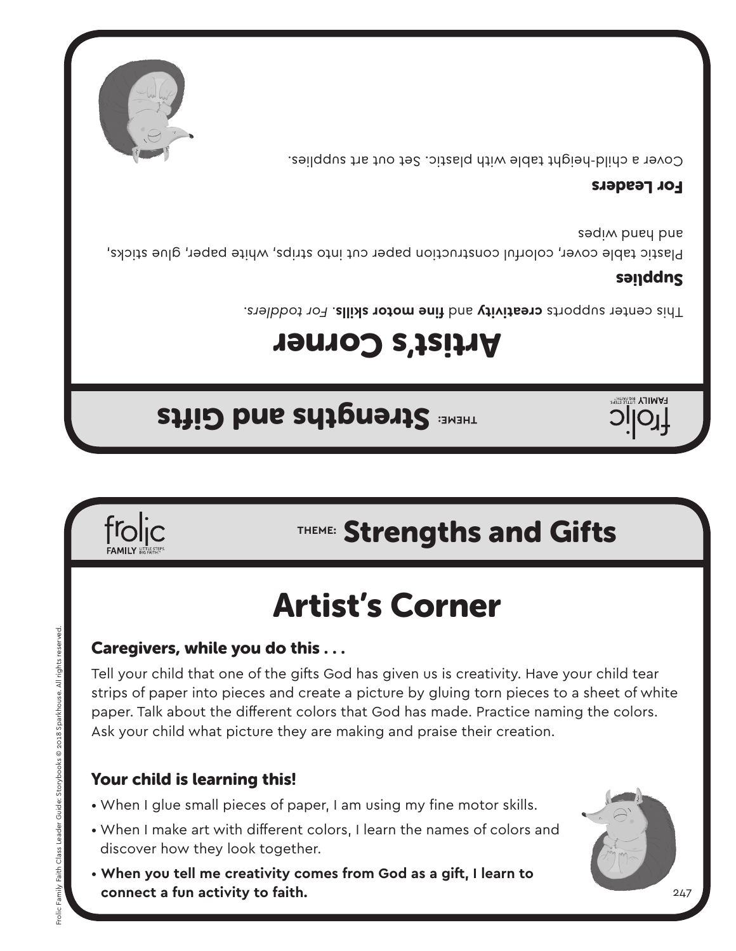

**THEME: Strengths and Gifts** 

- When I make art with different colors, I learn the names of colors and discover how they look together.
- **When you tell me creativity comes from God as a gift, I learn to connect a fun activity to faith.**



## Your child is learning this!

Caregivers, while you do this . . .

strips of paper into pieces and create a picture by gluing torn pieces to a sheet of white paper. Talk about the different colors that God has made. Practice naming the colors. Ask your child what picture they are making and praise their creation.

Tell your child that one of the gifts God has given us is creativity. Have your child tear

# Artist's Corner



# **THEME:** Strengths and Gifts

# Artist's Corner

Fhis center supports creativity and fine motor skills. For toddlers.

## sanddns

**FAMILY** 

Plastic table cover, colorful construction paper cut into strips, white paper, glue sticks, sadim puey pue

## For Leaders

Cover a child-height table with plastic. Set out art supplies.

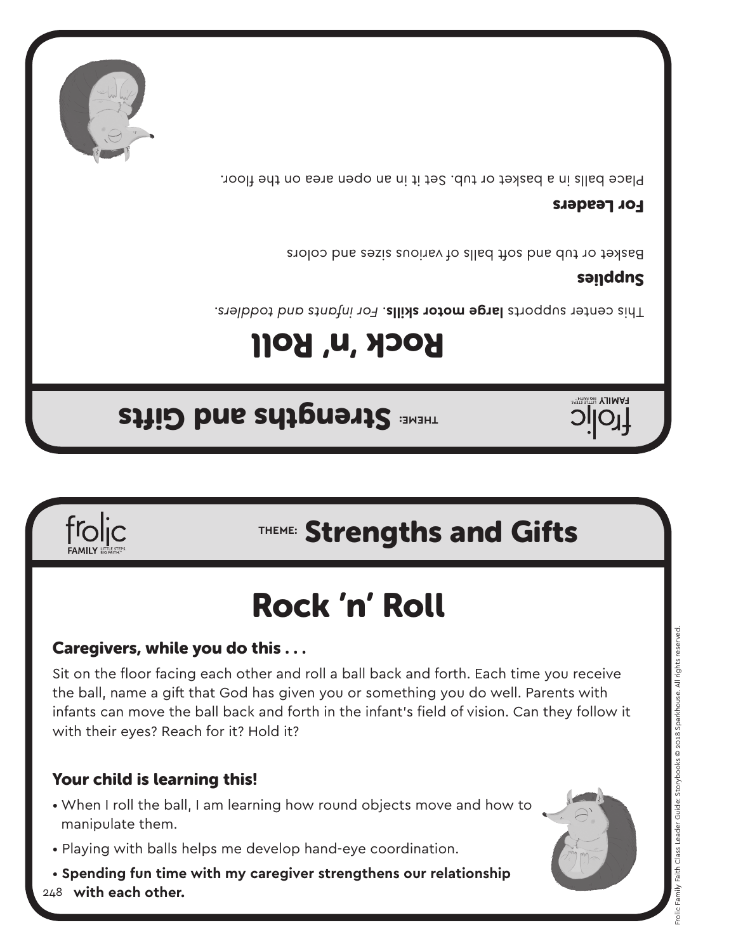

- Playing with balls helps me develop hand-eye coordination.
- **Spending fun time with my caregiver strengthens our relationship**
- When I roll the ball, I am learning how round objects move and how to

## Your child is learning this!

Caregivers, while you do this . . .

Sit on the floor facing each other and roll a ball back and forth. Each time you receive the ball, name a gift that God has given you or something you do well. Parents with infants can move the ball back and forth in the infant's field of vision. Can they follow it with their eyes? Reach for it? Hold it?

# Rock 'n' Roll

# **THEME:** Strengths and Gifts

**THEME: Strengths and Gifts** 

Rock 'n' Roll

For infants and toddlers. This center that infants and toddlers.

## sanddns

**HAMILY BIG FAITH** 

Basket or tub and soft balls of various sizes and colors

## For Leaders

Place balls in a basket or tub. Set it in an open area on the floor.



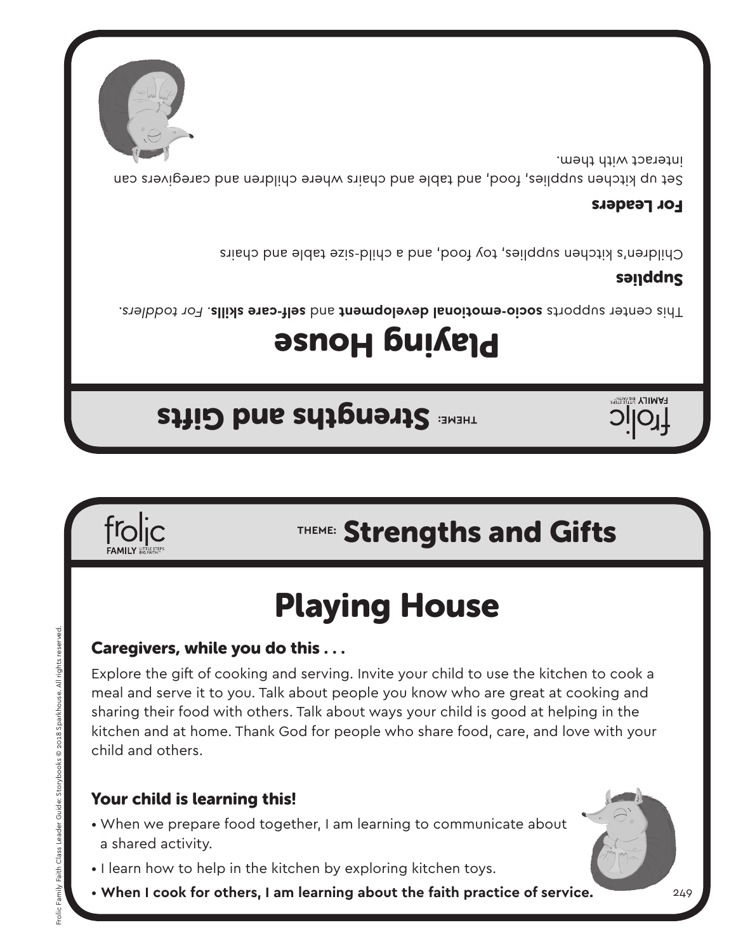• When we prepare food together, I am learning to communicate about

- I learn how to help in the kitchen by exploring kitchen toys.
- a shared activity.
- 
- **When I cook for others, I am learning about the faith practice of service.**

## Your child is learning this!

Caregivers, while you do this . . .

Explore the gift of cooking and serving. Invite your child to use the kitchen to cook a meal and serve it to you. Talk about people you know who are great at cooking and sharing their food with others. Talk about ways your child is good at helping in the kitchen and at home. Thank God for people who share food, care, and love with your child and others.

# Playing House

# **THEME:** Strengths and Gifts

# **THEME: Strengths and Gifts**

# **Playing House**

*For toddlers.* . **self-care skills** and **socio-emotional development** This center supports

## sanddns

**FAMILY** 

249

Children's kitchen supplies, toy food, and a child-size table and chairs

## For Leaders

Set up kitchen supplies, food, and table and chairs where children and caregivers can interact with them.

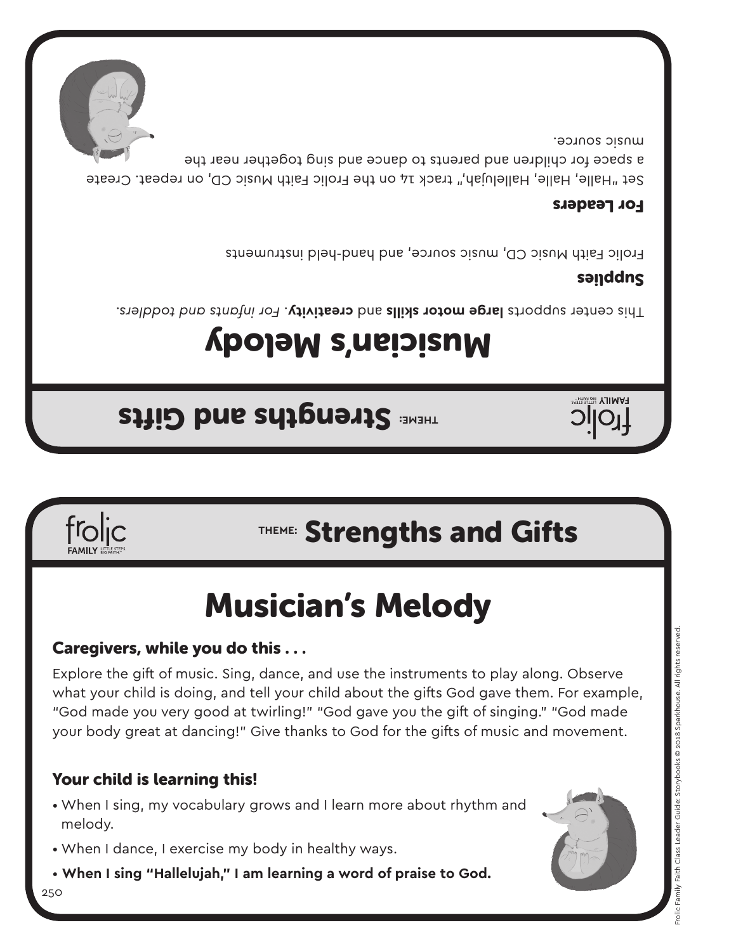250

- 
- **When I sing "Hallelujah," I am learning a word of praise to God.**
- When I dance, I exercise my body in healthy ways.
- When I sing, my vocabulary grows and I learn more about rhythm and melody.
- Your child is learning this!

Explore the gift of music. Sing, dance, and use the instruments to play along. Observe what your child is doing, and tell your child about the gifts God gave them. For example, "God made you very good at twirling!" "God gave you the gift of singing." "God made your body great at dancing!" Give thanks to God for the gifts of music and movement.

## Caregivers, while you do this . . .

# Musician's Melody

# **THEME:** Strengths and Gifts

# **THEME: Strengths and Gifts**

# Musician's Melody

For infants and toddlers. This center that the supports and toddlers.

## sanddns

**FAMILY &** 

Frolic Faith Music CD, music source, and hand-held instruments

## For Leaders

Set "Halle, Halle, Hallelujah," track 14 on the Frolic Faith Music CD, on repeat. Create a space for children and parents to dance and sing together near the music source.